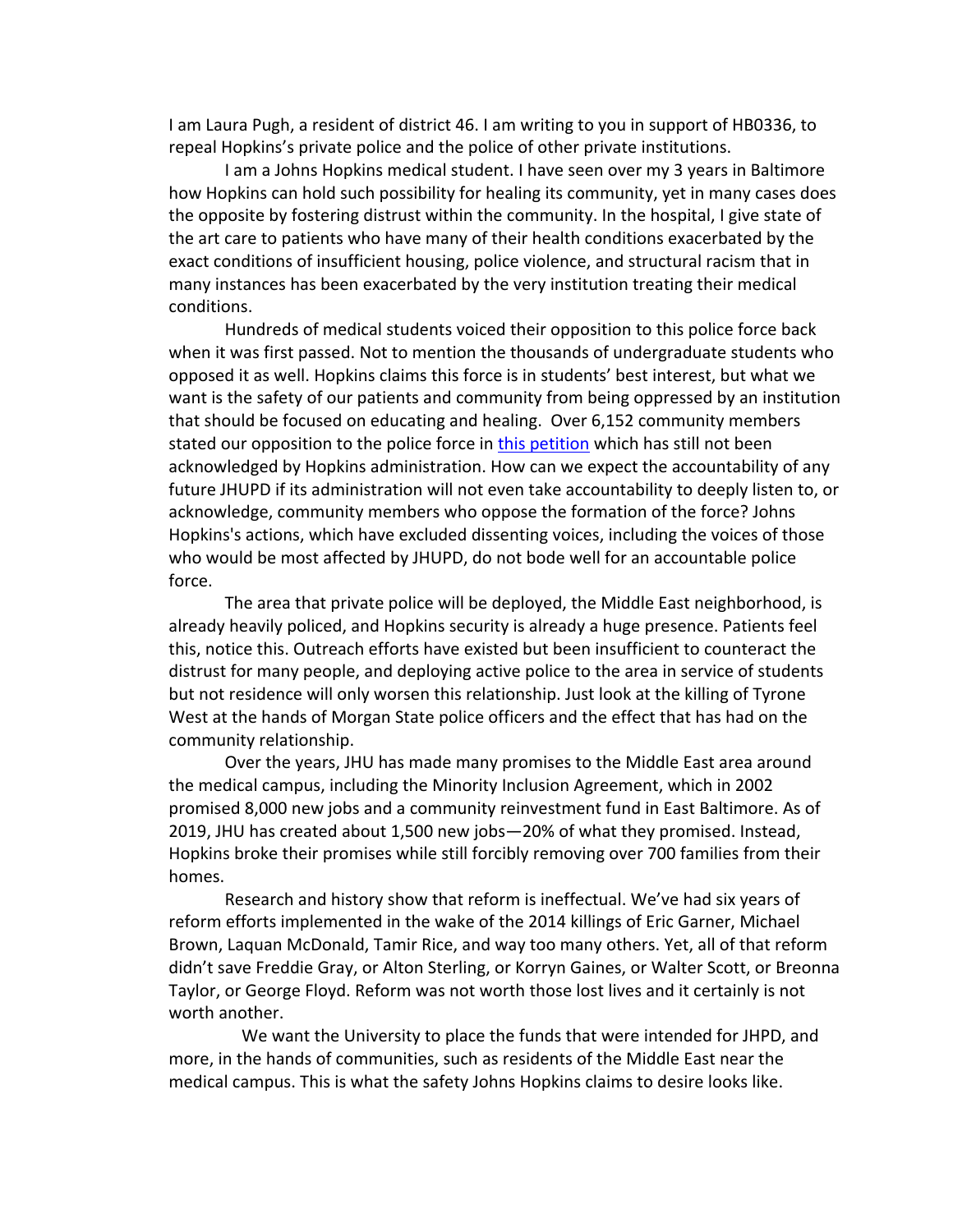I am Laura Pugh, a resident of district 46. I am writing to you in support of HB0336, to repeal Hopkins's private police and the police of other private institutions.

I am a Johns Hopkins medical student. I have seen over my 3 years in Baltimore how Hopkins can hold such possibility for healing its community, yet in many cases does the opposite by fostering distrust within the community. In the hospital, I give state of the art care to patients who have many of their health conditions exacerbated by the exact conditions of insufficient housing, police violence, and structural racism that in many instances has been exacerbated by the very institution treating their medical conditions.

Hundreds of medical students voiced their opposition to this police force back when it was first passed. Not to mention the thousands of undergraduate students who opposed it as well. Hopkins claims this force is in students' best interest, but what we want is the safety of our patients and community from being oppressed by an institution that should be focused on educating and healing. Over 6,152 community members stated our opposition to the police force in this petition which has still not been acknowledged by Hopkins administration. How can we expect the accountability of any future JHUPD if its administration will not even take accountability to deeply listen to, or acknowledge, community members who oppose the formation of the force? Johns Hopkins's actions, which have excluded dissenting voices, including the voices of those who would be most affected by JHUPD, do not bode well for an accountable police force.

The area that private police will be deployed, the Middle East neighborhood, is already heavily policed, and Hopkins security is already a huge presence. Patients feel this, notice this. Outreach efforts have existed but been insufficient to counteract the distrust for many people, and deploying active police to the area in service of students but not residence will only worsen this relationship. Just look at the killing of Tyrone West at the hands of Morgan State police officers and the effect that has had on the community relationship.

Over the years, JHU has made many promises to the Middle East area around the medical campus, including the Minority Inclusion Agreement, which in 2002 promised 8,000 new jobs and a community reinvestment fund in East Baltimore. As of 2019, JHU has created about 1,500 new jobs—20% of what they promised. Instead, Hopkins broke their promises while still forcibly removing over 700 families from their homes.

Research and history show that reform is ineffectual. We've had six years of reform efforts implemented in the wake of the 2014 killings of Eric Garner, Michael Brown, Laquan McDonald, Tamir Rice, and way too many others. Yet, all of that reform didn't save Freddie Gray, or Alton Sterling, or Korryn Gaines, or Walter Scott, or Breonna Taylor, or George Floyd. Reform was not worth those lost lives and it certainly is not worth another.

We want the University to place the funds that were intended for JHPD, and more, in the hands of communities, such as residents of the Middle East near the medical campus. This is what the safety Johns Hopkins claims to desire looks like.